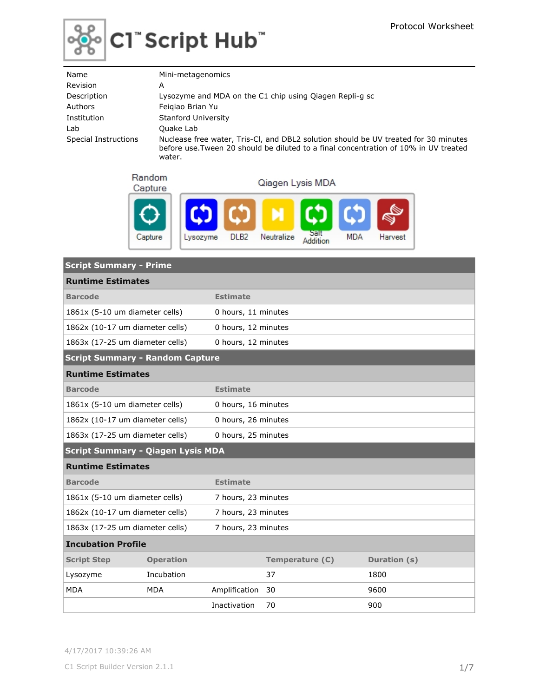

# $|$ C1" Script Hub"

| Name                 | Mini-metagenomics                                                                                                                                                           |
|----------------------|-----------------------------------------------------------------------------------------------------------------------------------------------------------------------------|
| Revision             | А                                                                                                                                                                           |
| Description          | Lysozyme and MDA on the C1 chip using Qiagen Repli-g sc                                                                                                                     |
| Authors              | Feigiao Brian Yu                                                                                                                                                            |
| Institution          | Stanford University                                                                                                                                                         |
| Lab                  | Quake Lab                                                                                                                                                                   |
| Special Instructions | Nuclease free water, Tris-CI, and DBL2 solution should be UV treated for 30 minutes<br>before use. Tween 20 should be diluted to a final concentration of 10% in UV treated |

water.

Random

Qiagen Lysis MDA



| <b>Script Summary - Prime</b>            |                  |                     |                 |              |  |  |  |  |
|------------------------------------------|------------------|---------------------|-----------------|--------------|--|--|--|--|
| <b>Runtime Estimates</b>                 |                  |                     |                 |              |  |  |  |  |
| <b>Barcode</b>                           |                  | <b>Estimate</b>     |                 |              |  |  |  |  |
| 1861x (5-10 um diameter cells)           |                  | 0 hours, 11 minutes |                 |              |  |  |  |  |
| 1862x (10-17 um diameter cells)          |                  | 0 hours, 12 minutes |                 |              |  |  |  |  |
| 1863x (17-25 um diameter cells)          |                  | 0 hours, 12 minutes |                 |              |  |  |  |  |
| <b>Script Summary - Random Capture</b>   |                  |                     |                 |              |  |  |  |  |
| <b>Runtime Estimates</b>                 |                  |                     |                 |              |  |  |  |  |
| <b>Barcode</b>                           |                  | <b>Estimate</b>     |                 |              |  |  |  |  |
| 1861x (5-10 um diameter cells)           |                  | 0 hours, 16 minutes |                 |              |  |  |  |  |
| 1862x (10-17 um diameter cells)          |                  | 0 hours, 26 minutes |                 |              |  |  |  |  |
| 1863x (17-25 um diameter cells)          |                  | 0 hours, 25 minutes |                 |              |  |  |  |  |
| <b>Script Summary - Qiagen Lysis MDA</b> |                  |                     |                 |              |  |  |  |  |
| <b>Runtime Estimates</b>                 |                  |                     |                 |              |  |  |  |  |
| <b>Barcode</b>                           |                  | <b>Estimate</b>     |                 |              |  |  |  |  |
| 1861x (5-10 um diameter cells)           |                  | 7 hours, 23 minutes |                 |              |  |  |  |  |
| 1862x (10-17 um diameter cells)          |                  | 7 hours, 23 minutes |                 |              |  |  |  |  |
| 1863x (17-25 um diameter cells)          |                  | 7 hours, 23 minutes |                 |              |  |  |  |  |
| <b>Incubation Profile</b>                |                  |                     |                 |              |  |  |  |  |
| <b>Script Step</b>                       | <b>Operation</b> |                     | Temperature (C) | Duration (s) |  |  |  |  |
| Lysozyme                                 | Incubation       |                     | 37              | 1800         |  |  |  |  |
| <b>MDA</b>                               | <b>MDA</b>       | Amplification       | 30              | 9600         |  |  |  |  |
|                                          |                  | Inactivation        | 70              | 900          |  |  |  |  |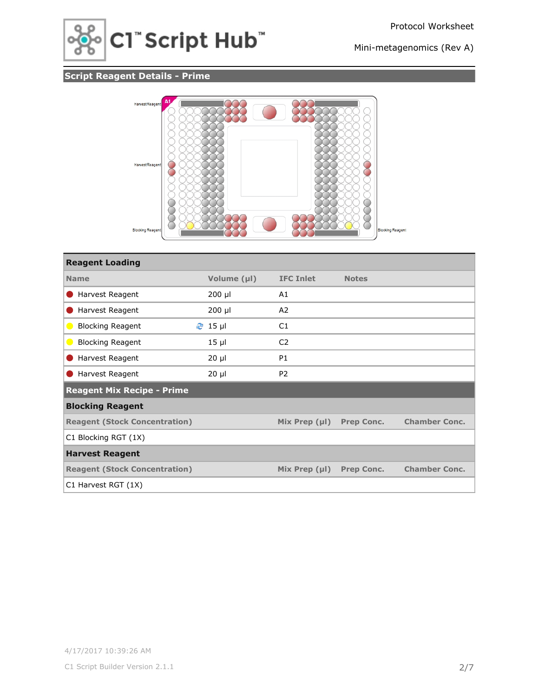

## **Script Reagent Details - Prime**



| <b>Reagent Loading</b>                                  |             |                    |                   |                      |
|---------------------------------------------------------|-------------|--------------------|-------------------|----------------------|
| <b>Name</b>                                             | Volume (µl) | <b>IFC Inlet</b>   | <b>Notes</b>      |                      |
| Harvest Reagent                                         | 200 µl      | A1                 |                   |                      |
| Harvest Reagent                                         | $200$ µl    | A2                 |                   |                      |
| <b>Blocking Reagent</b><br>$\bullet$                    | $2$ 15 µ    | C1                 |                   |                      |
| <b>Blocking Reagent</b><br>$\qquad \qquad \blacksquare$ | $15 \mu$    | C <sub>2</sub>     |                   |                      |
| Harvest Reagent                                         | $20 \mu$    | P <sub>1</sub>     |                   |                      |
| Harvest Reagent                                         | $20 \mu$    | P <sub>2</sub>     |                   |                      |
| <b>Reagent Mix Recipe - Prime</b>                       |             |                    |                   |                      |
| <b>Blocking Reagent</b>                                 |             |                    |                   |                      |
| <b>Reagent (Stock Concentration)</b>                    |             | Mix Prep $(\mu I)$ | <b>Prep Conc.</b> | <b>Chamber Conc.</b> |
| C1 Blocking RGT (1X)                                    |             |                    |                   |                      |
| <b>Harvest Reagent</b>                                  |             |                    |                   |                      |
| <b>Reagent (Stock Concentration)</b>                    |             | Mix Prep $(\mu I)$ | <b>Prep Conc.</b> | <b>Chamber Conc.</b> |
| C1 Harvest RGT (1X)                                     |             |                    |                   |                      |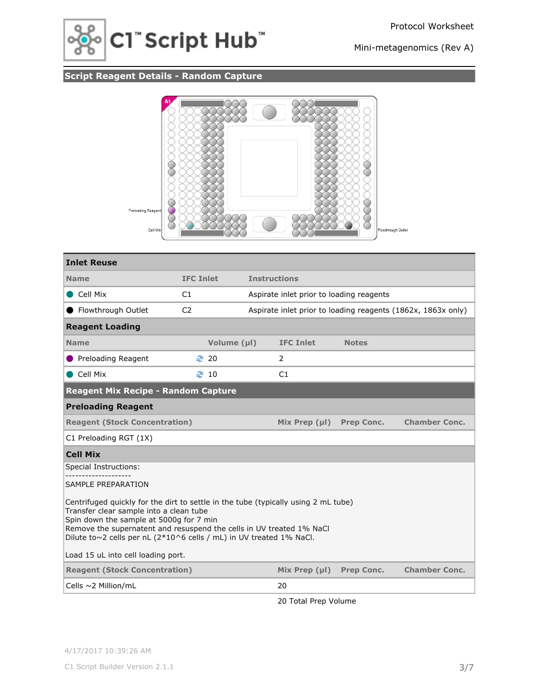

## **Script Reagent Details - Random Capture**



| <b>Inlet Reuse</b>                                                                                                                                                                                                                                                                                                                                            |                  |                     |                                          |                   |                                                              |  |  |  |
|---------------------------------------------------------------------------------------------------------------------------------------------------------------------------------------------------------------------------------------------------------------------------------------------------------------------------------------------------------------|------------------|---------------------|------------------------------------------|-------------------|--------------------------------------------------------------|--|--|--|
| <b>Name</b>                                                                                                                                                                                                                                                                                                                                                   | <b>IFC Inlet</b> | <b>Instructions</b> |                                          |                   |                                                              |  |  |  |
| Cell Mix                                                                                                                                                                                                                                                                                                                                                      | C1               |                     | Aspirate inlet prior to loading reagents |                   |                                                              |  |  |  |
| Flowthrough Outlet                                                                                                                                                                                                                                                                                                                                            | C <sub>2</sub>   |                     |                                          |                   | Aspirate inlet prior to loading reagents (1862x, 1863x only) |  |  |  |
| <b>Reagent Loading</b>                                                                                                                                                                                                                                                                                                                                        |                  |                     |                                          |                   |                                                              |  |  |  |
| <b>Name</b>                                                                                                                                                                                                                                                                                                                                                   | Volume (µl)      |                     | <b>IFC Inlet</b>                         | <b>Notes</b>      |                                                              |  |  |  |
| ● Preloading Reagent                                                                                                                                                                                                                                                                                                                                          | ₹ 20             |                     | 2                                        |                   |                                                              |  |  |  |
| Cell Mix                                                                                                                                                                                                                                                                                                                                                      | $\approx$ 10     |                     | C1                                       |                   |                                                              |  |  |  |
| <b>Reagent Mix Recipe - Random Capture</b>                                                                                                                                                                                                                                                                                                                    |                  |                     |                                          |                   |                                                              |  |  |  |
| <b>Preloading Reagent</b>                                                                                                                                                                                                                                                                                                                                     |                  |                     |                                          |                   |                                                              |  |  |  |
| <b>Chamber Conc.</b><br><b>Reagent (Stock Concentration)</b><br>Mix Prep $(\mu I)$<br><b>Prep Conc.</b>                                                                                                                                                                                                                                                       |                  |                     |                                          |                   |                                                              |  |  |  |
| C1 Preloading RGT (1X)                                                                                                                                                                                                                                                                                                                                        |                  |                     |                                          |                   |                                                              |  |  |  |
| <b>Cell Mix</b>                                                                                                                                                                                                                                                                                                                                               |                  |                     |                                          |                   |                                                              |  |  |  |
| Special Instructions:                                                                                                                                                                                                                                                                                                                                         |                  |                     |                                          |                   |                                                              |  |  |  |
| SAMPLE PREPARATION                                                                                                                                                                                                                                                                                                                                            |                  |                     |                                          |                   |                                                              |  |  |  |
| Centrifuged quickly for the dirt to settle in the tube (typically using 2 mL tube)<br>Transfer clear sample into a clean tube<br>Spin down the sample at 5000g for 7 min<br>Remove the supernatent and resuspend the cells in UV treated 1% NaCl<br>Dilute to~2 cells per nL (2*10^6 cells / mL) in UV treated 1% NaCl.<br>Load 15 uL into cell loading port. |                  |                     |                                          |                   |                                                              |  |  |  |
| <b>Reagent (Stock Concentration)</b>                                                                                                                                                                                                                                                                                                                          |                  |                     | Mix Prep $(\mu I)$                       | <b>Prep Conc.</b> | <b>Chamber Conc.</b>                                         |  |  |  |
| Cells $\sim$ 2 Million/mL                                                                                                                                                                                                                                                                                                                                     |                  |                     | 20                                       |                   |                                                              |  |  |  |

20 Total Prep Volume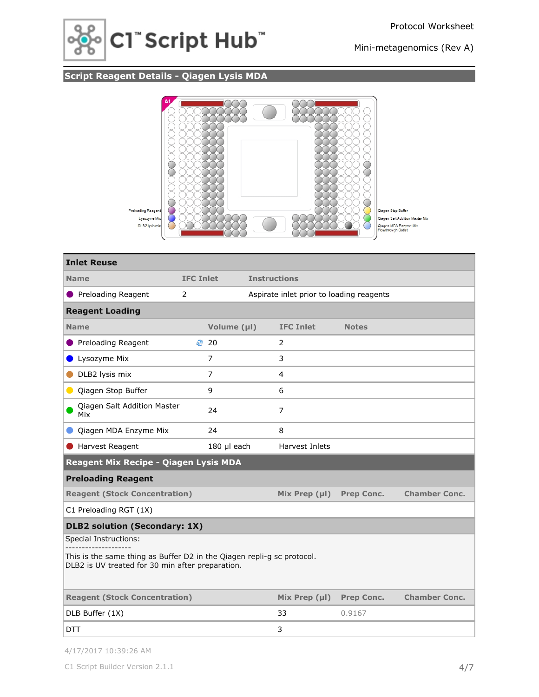

## **Script Reagent Details - Qiagen Lysis MDA**



| <b>Inlet Reuse</b>                                                                                                         |                  |                                          |                     |                    |                   |                      |
|----------------------------------------------------------------------------------------------------------------------------|------------------|------------------------------------------|---------------------|--------------------|-------------------|----------------------|
| <b>Name</b>                                                                                                                | <b>IFC Inlet</b> |                                          | <b>Instructions</b> |                    |                   |                      |
| <b>O</b> Preloading Reagent                                                                                                | 2                | Aspirate inlet prior to loading reagents |                     |                    |                   |                      |
| <b>Reagent Loading</b>                                                                                                     |                  |                                          |                     |                    |                   |                      |
| <b>Name</b>                                                                                                                |                  | Volume (µl)                              |                     | <b>IFC Inlet</b>   | <b>Notes</b>      |                      |
| Preloading Reagent                                                                                                         | ₹ 20             |                                          |                     | 2                  |                   |                      |
| Lysozyme Mix                                                                                                               | $\overline{7}$   |                                          |                     | 3                  |                   |                      |
| DLB2 lysis mix                                                                                                             | $\overline{7}$   |                                          |                     | 4                  |                   |                      |
| Qiagen Stop Buffer<br>$\bullet$                                                                                            | 9                |                                          |                     | 6                  |                   |                      |
| <b>Qiagen Salt Addition Master</b><br>Mix                                                                                  | 24               |                                          |                     | $\overline{7}$     |                   |                      |
| Qiagen MDA Enzyme Mix                                                                                                      | 24               |                                          |                     | 8                  |                   |                      |
| Harvest Reagent                                                                                                            |                  | 180 µl each                              |                     | Harvest Inlets     |                   |                      |
| Reagent Mix Recipe - Qiagen Lysis MDA                                                                                      |                  |                                          |                     |                    |                   |                      |
| <b>Preloading Reagent</b>                                                                                                  |                  |                                          |                     |                    |                   |                      |
| <b>Reagent (Stock Concentration)</b>                                                                                       |                  |                                          |                     | Mix Prep $(\mu I)$ | Prep Conc.        | <b>Chamber Conc.</b> |
| C1 Preloading RGT (1X)                                                                                                     |                  |                                          |                     |                    |                   |                      |
| <b>DLB2 solution (Secondary: 1X)</b>                                                                                       |                  |                                          |                     |                    |                   |                      |
| Special Instructions:                                                                                                      |                  |                                          |                     |                    |                   |                      |
| This is the same thing as Buffer D2 in the Qiagen repli-g sc protocol.<br>DLB2 is UV treated for 30 min after preparation. |                  |                                          |                     |                    |                   |                      |
| <b>Reagent (Stock Concentration)</b>                                                                                       |                  |                                          |                     | Mix Prep $(\mu I)$ | <b>Prep Conc.</b> | <b>Chamber Conc.</b> |
| DLB Buffer (1X)                                                                                                            |                  |                                          |                     | 33                 | 0.9167            |                      |
| <b>DTT</b>                                                                                                                 |                  |                                          |                     | 3                  |                   |                      |

4/17/2017 10:39:26 AM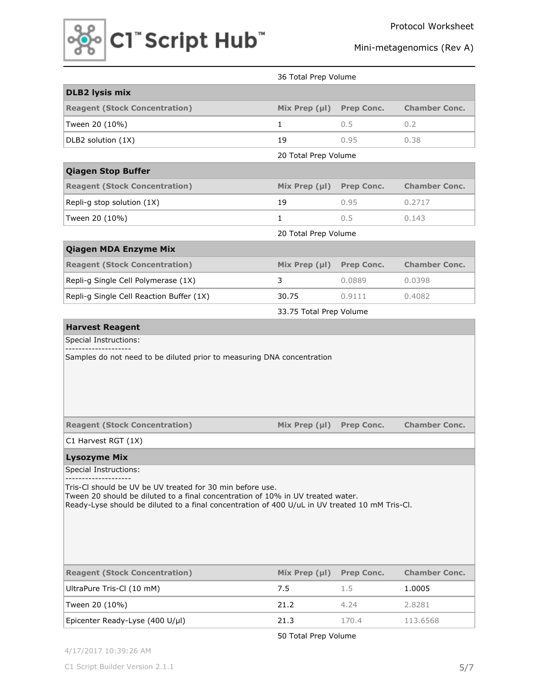

|                                                                                                                                                                                                                                                                         | 36 Total Prep Volume    |                   |                      |  |
|-------------------------------------------------------------------------------------------------------------------------------------------------------------------------------------------------------------------------------------------------------------------------|-------------------------|-------------------|----------------------|--|
| <b>DLB2 lysis mix</b>                                                                                                                                                                                                                                                   |                         |                   |                      |  |
| <b>Reagent (Stock Concentration)</b>                                                                                                                                                                                                                                    | Mix Prep $(\mu I)$      | Prep Conc.        | <b>Chamber Conc.</b> |  |
| Tween 20 (10%)                                                                                                                                                                                                                                                          | $\mathbf{1}$            | 0.5               | 0.2                  |  |
| DLB2 solution (1X)                                                                                                                                                                                                                                                      | 19                      | 0.95              | 0.38                 |  |
|                                                                                                                                                                                                                                                                         | 20 Total Prep Volume    |                   |                      |  |
| <b>Qiagen Stop Buffer</b>                                                                                                                                                                                                                                               |                         |                   |                      |  |
| <b>Reagent (Stock Concentration)</b>                                                                                                                                                                                                                                    | Mix Prep $(\mu I)$      | <b>Prep Conc.</b> | <b>Chamber Conc.</b> |  |
| Repli-g stop solution (1X)                                                                                                                                                                                                                                              | 19                      | 0.95              | 0.2717               |  |
| Tween 20 (10%)                                                                                                                                                                                                                                                          | $\mathbf{1}$            | 0.5               | 0.143                |  |
|                                                                                                                                                                                                                                                                         | 20 Total Prep Volume    |                   |                      |  |
| <b>Qiagen MDA Enzyme Mix</b>                                                                                                                                                                                                                                            |                         |                   |                      |  |
| <b>Reagent (Stock Concentration)</b>                                                                                                                                                                                                                                    | Mix Prep $(\mu I)$      | <b>Prep Conc.</b> | <b>Chamber Conc.</b> |  |
| Repli-g Single Cell Polymerase (1X)                                                                                                                                                                                                                                     | 3                       | 0.0889            | 0.0398               |  |
| Repli-g Single Cell Reaction Buffer (1X)                                                                                                                                                                                                                                | 30.75                   | 0.9111            | 0.4082               |  |
|                                                                                                                                                                                                                                                                         | 33.75 Total Prep Volume |                   |                      |  |
| <b>Harvest Reagent</b>                                                                                                                                                                                                                                                  |                         |                   |                      |  |
| Samples do not need to be diluted prior to measuring DNA concentration                                                                                                                                                                                                  |                         |                   |                      |  |
|                                                                                                                                                                                                                                                                         |                         |                   |                      |  |
| <b>Reagent (Stock Concentration)</b>                                                                                                                                                                                                                                    | Mix Prep $(\mu I)$      | <b>Prep Conc.</b> | <b>Chamber Conc.</b> |  |
| C1 Harvest RGT (1X)                                                                                                                                                                                                                                                     |                         |                   |                      |  |
| <b>Lysozyme Mix</b>                                                                                                                                                                                                                                                     |                         |                   |                      |  |
| Special Instructions:<br>Tris-CI should be UV be UV treated for 30 min before use.<br>Tween 20 should be diluted to a final concentration of 10% in UV treated water.<br>Ready-Lyse should be diluted to a final concentration of 400 U/uL in UV treated 10 mM Tris-Cl. |                         |                   |                      |  |
| <b>Reagent (Stock Concentration)</b>                                                                                                                                                                                                                                    | Mix Prep $(\mu I)$      | <b>Prep Conc.</b> | <b>Chamber Conc.</b> |  |
| UltraPure Tris-Cl (10 mM)                                                                                                                                                                                                                                               | 7.5                     | 1.5               | 1.0005               |  |
| Tween 20 (10%)                                                                                                                                                                                                                                                          | 21.2                    | 4.24              | 2.8281               |  |

50 Total Prep Volume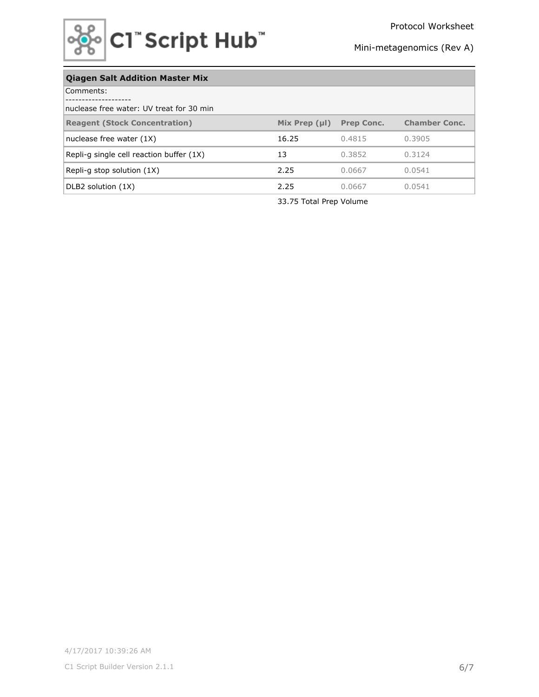

## **Qiagen Salt Addition Master Mix**

| Comments:                                 |                    |                   |                      |  |  |  |
|-------------------------------------------|--------------------|-------------------|----------------------|--|--|--|
| Inuclease free water: UV treat for 30 min |                    |                   |                      |  |  |  |
| <b>Reagent (Stock Concentration)</b>      | Mix Prep $(\mu I)$ | <b>Prep Conc.</b> | <b>Chamber Conc.</b> |  |  |  |
| nuclease free water $(1X)$                | 16.25              | 0.4815            | 0.3905               |  |  |  |
| Repli-g single cell reaction buffer (1X)  | 13                 | 0.3852            | 0.3124               |  |  |  |
| Repli-g stop solution $(1X)$              | 2.25               | 0.0667            | 0.0541               |  |  |  |
| DLB2 solution (1X)                        | 2.25               | 0.0667            | 0.0541               |  |  |  |

33.75 Total Prep Volume